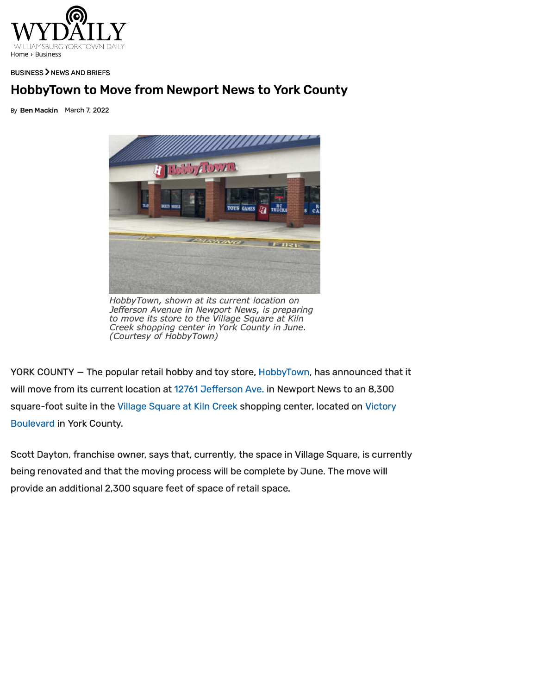

## BUSINESS) NEWS AND BRIEFS

## **HobbyTown to Move from Newport News to York County**

By **Ben Mackin** March 7, 2022



*HobbyTown, shown at its current location on Jefferson Avenue in Newport News, is preparing to move its store to the Village Square at Kiln Creek shopping center in York County in June. (Courtesy of HobbyTown)* 

YORK COUNTY - The popular retail hobby and toy store, HobbyTown, has announced that it will move from its current location at 12761 Jefferson Ave. in Newport News to an 8,300 square-foot suite in the Village Square at Kiln Creek shopping center. located on Victory Boulevard in York County.

Scott Dayton. franchise owner. says that. currently. the space in Village Square. is currently being renovated and that the moving process will be complete by June. The move will provide an additional 2,300 square feet of space of retail space.